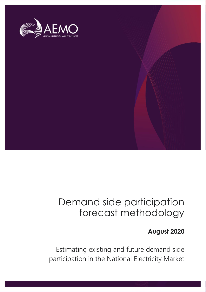

## Demand side participation forecast methodology

## **August 2020**

Estimating existing and future demand side participation in the National Electricity Market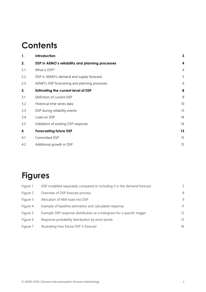## **Contents**

| 1.  | Introduction                                     | 3              |
|-----|--------------------------------------------------|----------------|
| 2.  | DSP in AEMO's reliability and planning processes | 4              |
| 2.1 | What is DSP?                                     | $\overline{4}$ |
| 2.2 | DSP in AEMO's demand and supply forecasts        | 5              |
| 2.3 | AEMO's DSP forecasting and planning processes    | 6              |
| 3.  | <b>Estimating the current level of DSP</b>       | 8              |
| 3.1 | Definition of current DSP                        | 8              |
| 3.2 | Historical time series data                      | 10             |
| 3.3 | DSP during reliability events                    | 13             |
| 3.4 | Load-on DSP                                      | 14             |
| 3.5 | Validation of existing DSP response              | 14             |
| 4.  | <b>Forecasting future DSP</b>                    | 15             |
| 4.1 | Committed DSP                                    | 15             |
| 4.2 | Additional growth in DSP                         | 15             |

## **Figures**

| Figure 1 | DSP modelled separately compared to including it in the demand forecast | 5. |
|----------|-------------------------------------------------------------------------|----|
| Figure 2 | Overview of DSP forecast process                                        | 8  |
| Figure 3 | Allocation of NMI load into DSP                                         | 9  |
| Figure 4 | Example of baseline estimation and calculated response                  | 11 |
| Figure 5 | Example DSP response distribution as a histogram for a specific trigger | 12 |
| Figure 6 | Response probability distribution by price bands                        | 13 |
| Figure 7 | Illustrating how future DSP is forecast                                 | 16 |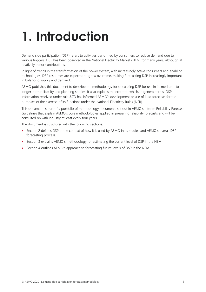# <span id="page-2-0"></span>**1. Introduction**

Demand side participation (DSP) refers to activities performed by consumers to reduce demand due to various triggers. DSP has been observed in the National Electricity Market (NEM) for many years, although at relatively minor contributions.

In light of trends in the transformation of the power system, with increasingly active consumers and enabling technologies, DSP resources are expected to grow over time, making forecasting DSP increasingly important in balancing supply and demand.

AEMO publishes this document to describe the methodology for calculating DSP for use in its medium- to longer-term reliability and planning studies. It also explains the extent to which, in general terms, DSP information received under rule 3.7D has informed AEMO's development or use of load forecasts for the purposes of the exercise of its functions under the National Electricity Rules (NER).

This document is part of a portfolio of methodology documents set out in AEMO's Interim Reliability Forecast Guidelines that explain AEMO's core methodologies applied in preparing reliability forecasts and will be consulted on with industry at least every four years.

The document is structured into the following sections:

- Section 2 defines DSP in the context of how it is used by AEMO in its studies and AEMO's overall DSP forecasting process.
- Section 3 explains AEMO's methodology for estimating the current level of DSP in the NEM.
- Section 4 outlines AEMO's approach to forecasting future levels of DSP in the NEM.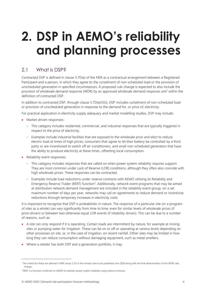# <span id="page-3-0"></span>**2. DSP in AEMO's reliability and planning processes**

## <span id="page-3-1"></span>2.1 What is DSP?

Contracted DSP is defined in clause 3.7D(a) of the NER as a contractual arrangement between a Registered Participant and a person, in which they agree to the curtailment of non-scheduled load or the provision of unscheduled generation in specified circumstances. A proposed rule change is expected to also include the provision of wholesale demand response (WDR) by an approved wholesale demand response unit<sup>1</sup> within the definition of contracted DSP.

In addition to contracted DSP, through clause 3.7D(e)(1)(ii), DSP includes curtailment of non-scheduled load or provision of unscheduled generation in response to the demand for, or price of, electricity.

For practical application in electricity supply adequacy and market modelling studies, DSP may include:

- Market-driven responses:
	- This category includes residential, commercial, and industrial responses that are typically triggered in respect to the price of electricity.
	- Examples include industrial facilities that are exposed to the wholesale price and elect to reduce electric load at times of high prices, consumers that agree to let their battery be controlled by a third party or are incentivised to switch off air-conditioners, and small non-scheduled generators that have the ability to produce electricity at these times, offsetting local consumption.
- Reliability event responses:
	- This category includes responses that are called on when power system reliability requires support. They are most common under Lack of Reserve (LOR) conditions, although they often also coincide with high wholesale prices. These responses can be contracted.
	- Examples include load reductions under reserve contracts with AEMO utilising its Reliability and Emergency Reserve Trader (RERT) function<sup>2</sup>. Additionally, network event programs that may be aimed at distribution network demand management are included in the reliability event group; on a set maximum number of days per year, networks may call on agreements to reduce demand or incentivise reductions through temporary increases in electricity costs.

It is important to recognise that DSP is probabilistic in nature. The response of a particular site (or a program of sites as a whole) can vary significantly from time to time, even for similar levels of wholesale prices (if price-driven) or between two otherwise equal LOR events (if reliability-driven). This can be due to a number of reasons, such as:

- A site can only respond if it is operating. Certain loads are intermittent by nature, for example at mining sites or pumping water for irrigation. These can be on or off or operating at various levels depending on other processes on site, or, in the case of irrigation, on recent rainfall. Other sites may be limited in how long they can reduce consumption without damaging equipment, such as metal smelters.
- Where a retailer has both DSP and a generation portfolio, it may:

<sup>1</sup> The criteria for these are defined in NER clause 2.3.6 in the revised rules to be published June 2020 along with the final determination of the WDR rules change.

<sup>&</sup>lt;sup>2</sup> RERT is a function conferred on AEMO to maintain power system reliability using reserve contracts.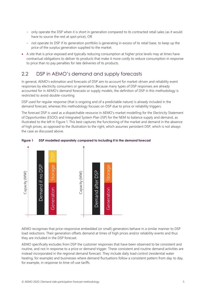- only operate the DSP when it is short in generation compared to its contracted retail sales (as it would have to source the rest at spot price), OR
- not operate its DSP if its generation portfolio is generating in excess of its retail base, to keep up the price of the surplus generation supplied to the market.
- A site that is price-exposed and typically reducing consumption at higher price levels may at times have contractual obligations to deliver its products that make it more costly to reduce consumption in response to price than to pay penalties for late deliveries of its products.

## <span id="page-4-0"></span>2.2 DSP in AEMO's demand and supply forecasts

In general, AEMO's estimation and forecasts of DSP aim to account for market-driven and reliability event responses by electricity consumers or generators. Because many types of DSP responses are already accounted for in AEMO's demand forecasts or supply models, the definition of DSP in this methodology is restricted to avoid double-counting.

DSP used for regular response (that is ongoing and of a predictable nature) is already included in the demand forecast, whereas this methodology focuses on DSP due to price or reliability triggers.

The forecast DSP is used as a dispatchable resource in AEMO's market modelling for the Electricity Statement of Opportunities (ESOO) and Integrated System Plan (ISP) for the NEM to balance supply and demand, as illustrated to the left in [Figure 1.](#page-4-1) This best captures the functioning of the market and demand in the absence of high prices, as opposed to the illustration to the right, which assumes persistent DSP, which is not always the case as discussed above.



### <span id="page-4-1"></span>**Figure 1 DSP modelled separately compared to including it in the demand forecast**

AEMO recognises that price-responsive embedded (or small) generators behave in a similar manner to DSP load reductions. Their generation offsets demand at times of high prices and/or reliability events and thus they are included in the DSP forecast.

AEMO specifically excludes from DSP the customer responses that have been observed to be consistent and routine, and not in response to a price or demand trigger. These consistent and routine demand activities are instead incorporated in the regional demand forecast. They include daily load control (residential water heating, for example) and businesses where demand fluctuations follow a consistent pattern from day to day, for example, in response to time-of-use tariffs.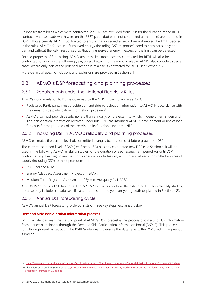Responses from loads which were contracted for RERT are excluded from DSP for the duration of the RERT contract, whereas loads which were on the RERT panel (but were not contracted at that time) are included in DSP in those periods. RERT is contracted to ensure that unserved energy does not exceed the limit specified in the rules. AEMO's forecasts of unserved energy (including DSP responses) need to consider supply and demand without the RERT responses, so that any unserved energy in excess of the limit can be detected.

For the purposes of forecasting, AEMO assumes sites most recently contracted for RERT will also be contracted for RERT in the following year, unless better information is available. AEMO also considers special cases, where only part of the potential response at a site is contracted for RERT (see Section [3.3\)](#page-12-0).

More details of specific inclusions and exclusions are provided in Section 3.1.

## <span id="page-5-0"></span>2.3 AEMO's DSP forecasting and planning processes

## 2.3.1 Requirements under the National Electricity Rules

AEMO's work in relation to DSP is governed by the NER, in particular clause 3.7D:

- Registered Participants must provide demand side participation information to AEMO in accordance with the demand side participation information guidelines<sup>3</sup>.
- AEMO also must publish details, no less than annually, on the extent to which, in general terms, demand side participation information received under rule 3.7D has informed AEMO's development or use of load forecasts for the purposes of the exercise of its functions under the NER.

## <span id="page-5-1"></span>2.3.2 Including DSP in AEMO's reliability and planning processes

AEMO estimates the current level of, committed changes to, and forecast future growth for DSP.

The current estimated level of DSP (see Section [3.3\)](#page-12-0) plus any committed new DSP (see Section [4.1\)](#page-14-1) will be used in the following AEMO reliability studies for the duration of each assessment period (or until DSP contract expiry if earlier) to ensure supply adequacy includes only existing and already committed sources of supply (including DSP) to meet peak demand:

- ESOO for the NEM.
- Energy Adequacy Assessment Projection (EAAP).
- Medium Term Projected Assessment of System Adequacy (MT PASA).

AEMO's ISP also uses DSP forecasts. The ISP DSP forecasts vary from the estimated DSP for reliability studies, because they include scenario-specific assumptions around year-on-year growth (explained in Section [4.2\)](#page-14-2).

## 2.3.3 Annual DSP forecasting cycle

AEMO's annual DSP forecasting cycle consists of three key steps, explained below.

## **Demand Side Participation Information process**

Within a calendar year, the starting point of AEMO's DSP forecast is the process of collecting DSP information from market participants through the Demand Side Participation Information Portal (DSP IP). This process runs through April, as set out in the DSPI Guidelines<sup>4</sup>, to ensure the data reflects the DSP used in the previous summer.

<sup>3</sup> A[t https://www.aemo.com.au/Electricity/National-Electricity-Market-NEM/Planning-and-forecasting/Demand-Side-Participation-Information-Guidelines.](https://www.aemo.com.au/Electricity/National-Electricity-Market-NEM/Planning-and-forecasting/Demand-Side-Participation-Information-Guidelines)

<sup>4</sup> Further information on the DSP IP is a[t https://www.aemo.com.au/Electricity/National-Electricity-Market-NEM/Planning-and-forecasting/Demand-Side-](https://www.aemo.com.au/Electricity/National-Electricity-Market-NEM/Planning-and-forecasting/Demand-Side-Participation-Information-Guidelines)[Participation-Information-Guidelines.](https://www.aemo.com.au/Electricity/National-Electricity-Market-NEM/Planning-and-forecasting/Demand-Side-Participation-Information-Guidelines)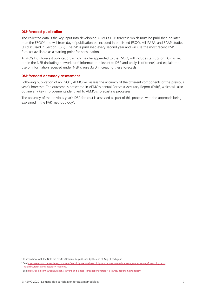### **DSP forecast publication**

The collected data is the key input into developing AEMO's DSP forecast, which must be published no later than the ESOO<sup>5</sup> and will from day of publication be included in published ESOO, MT PASA, and EAAP studies (as discussed in Section [2.3.2\)](#page-5-1). The ISP is published every second year and will use the most recent DSP forecast available as a starting point for consultation.

AEMO's DSP forecast publication, which may be appended to the ESOO, will include statistics on DSP as set out in the NER (including network tariff information relevant to DSP and analysis of trends) and explain the use of information received under NER clause 3.7D in creating these forecasts.

#### **DSP forecast accuracy assessment**

Following publication of an ESOO, AEMO will assess the accuracy of the different components of the previous year's forecasts. The outcome is presented in AEMO's annual Forecast Accuracy Report (FAR)<sup>6</sup>, which will also outline any key improvements identified to AEMO's forecasting processes.

The accuracy of the previous year's DSP forecast is assessed as part of this process, with the approach being explained in the FAR methodology<sup>7</sup>.

<sup>&</sup>lt;sup>5</sup> In accordance with the NER, the NEM ESOO must be published by the end of August each year.

<sup>6</sup> Se[e https://aemo.com.au/en/energy-systems/electricity/national-electricity-market-nem/nem-forecasting-and-planning/forecasting-and](https://aemo.com.au/en/energy-systems/electricity/national-electricity-market-nem/nem-forecasting-and-planning/forecasting-and-reliability/forecasting-accuracy-reporting)[reliability/forecasting-accuracy-reporting.](https://aemo.com.au/en/energy-systems/electricity/national-electricity-market-nem/nem-forecasting-and-planning/forecasting-and-reliability/forecasting-accuracy-reporting)

<sup>7</sup> Se[e https://aemo.com.au/consultations/current-and-closed-consultations/forecast-accuracy-report-methodology.](https://aemo.com.au/consultations/current-and-closed-consultations/forecast-accuracy-report-methodology)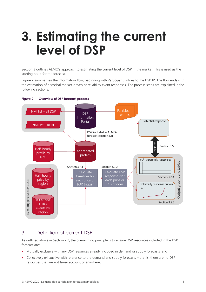## <span id="page-7-0"></span>**3. Estimating the current level of DSP**

Section [3](#page-7-0) outlines AEMO's approach to estimating the current level of DSP in the market. This is used as the starting point for the forecast.

[Figure 2](#page-7-2) summarises the information flow, beginning with Participant Entries to the DSP IP. The flow ends with the estimation of historical market-driven or reliability event responses. The process steps are explained in the following sections.



### <span id="page-7-2"></span>**Figure 2 Overview of DSP forecast process**

## <span id="page-7-1"></span>3.1 Definition of current DSP

As outlined above in Section 2.2, the overarching principle is to ensure DSP resources included in the DSP forecast are:

- Mutually exclusive with any DSP resources already included in demand or supply forecasts, and
- Collectively exhaustive with reference to the demand and supply forecasts that is, there are no DSP resources that are not taken account of anywhere.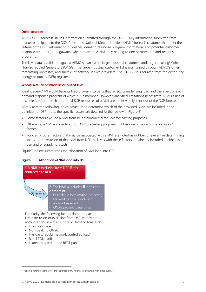### **Data sources**

AEMO's DSP forecast utilises information submitted through the DSP IP. Key information submitted from market participants to the DSP IP includes National Meter Identifiers (NMIs) for each customer that meet the criteria of the DSP information guidelines, demand response program information, and potential customer response amounts (in megawatts) where relevant. A NMI may belong to one or more demand response programs.

The NMI data is validated against AEMO's own lists of large industrial customers and larger peaking<sup>8</sup> Other Non-Scheduled Generators (ONSG). The large industrial customer list is maintained through AEMO's other forecasting processes, and surveys of network service providers. The ONSG list is sourced from the distributed energy resources (DER) register.

## **Whole NMI allocation in or out of DSP**

Ideally, every NMI would have its load broken into parts that reflect its underlying load and the effect of each demand response program of which it is a member. However, analytical limitations necessitate AEMO's use of a 'whole NMI' approach – the total DSP resources of a NMI are either wholly in or out of the DSP forecast.

AEMO uses the following logical structure to determine which of the provided NMIs are included in the definition of DSP (note, the specific factors are detailed further below in Figure 3):

- Some factors exclude a NMI from being considered for DSP forecasting purposes.
- Otherwise, a NMI is considered for DSP forecasting purposes if it has one or more of the 'inclusion' factors.
- For clarity, other factors that may be associated with a NMI are noted as not being relevant in determining inclusion or exclusion of that NMI from DSP, as NMIs with these factors are already included in either the demand or supply forecasts.

Figure 3 below summarises the allocation of NMI load into DSP.

### <span id="page-8-0"></span>**Figure 3 Allocation of NMI load into DSP**



For clarity, the following factors do not impact a NMI's inclusion or exclusion from DSP as they are accounted for in either supply or demand forecasts:

- Energy storage
- Non-peaking ONSG
- Has daily/regular network controlled load
- Retail TOU tariff
- Is uncontracted on the RERT panel

<sup>&</sup>lt;sup>8</sup> 'Peaking' refers to generators that operate a few hours a year during high price events.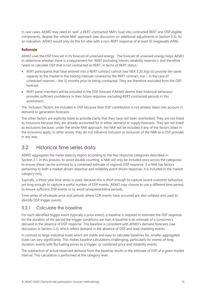In rare cases, AEMO may need to 'split' a RERT-contracted NMI's load into contracted RERT and DSP eligible components, despite the 'whole NMI' approach (see discussion on additional adjustments in Section [3.3\)](#page-12-0). As an indication, AEMO would only do this for sites with a non-RERT response of at least 10 megawatts (MW).

## **Rationale**

AEMO uses the DSP forecast in its forecast of unserved energy. The forecast of unserved energy helps AEMO to determine whether there is a requirement for RERT (including interim reliability reserves ), and therefore needs to calculate DSP that is not contracted as RERT. In terms of RERT status:

- RERT participants that have entered into a RERT contract cannot (see NER 3.20.3(g)-(i)) provide the same capacity to the market in the trading intervals covered by the RERT contract, nor – in the case of scheduled reserves – the 12 months prior to being contracted. They are therefore excluded from the DSP forecast.
- RERT panel members will be included in the DSP forecast if AEMO deems their historical behaviour provides sufficient confidence in their future response, excluding RERT contracted periods in this assessment.

The 'inclusion' factors are included in DSP because their DSP contribution is not already taken into account in demand or generation forecasts.

The other factors are explicitly listed to provide clarity that they have not been overlooked. They are not listed as inclusions because they are already accounted for in either demand or supply forecasts. They are not listed as exclusions because, under the whole NMI approach, the NMI will be included if any of the factors listed in the inclusions apply. In other words, they do not influence inclusion or exclusion of the NMI as a DSP provider in any way.

## <span id="page-9-0"></span>3.2 Historical time series data

AEMO aggregates the meter data by region according to the two response categories described in Section [2.1.](#page-3-1) In this process, to avoid double counting, a NMI will only be included once across the categories to ensure these can be summed to a combined estimate of regional DSP response. If a NMI has factors pertaining to both a market-driven response and reliability event driven response, it is included in the market category only.

Typically, a three-year time series is used, because this is short enough to capture recent customer behaviour, yet long enough to capture a useful number of DSP events. AEMO may choose to use a different time period, to ensure sufficient DSP events or to avoid unrepresentative periods.

Time series of wholesale price and periods where LOR events have occurred are also collated and used to identify DSP trigger events.

## <span id="page-9-1"></span>3.2.1 Calculate the baseline

For each identified trigger event (typically a price event), a baseline is required to estimate the DSP response for the duration of the period the trigger conditions are met. A baseline is an estimate of a consumer's demand in the absence of DSP response. This baseline is consistent with AEMO's demand forecasts (see discussion in Section [2.2\)](#page-4-0), which reflect demand in the absence of DSP and load shedding events.

In contrast to large industrial loads which are stable and easy to calculate baselines for, smaller aggregated loads can vary significantly. This makes baseline calculations challenging, particularly for events of long duration, events with fluctuating prices as a trigger, or combined price and reliability events.

The subtraction of actual observed demand from the baseline results in the estimate of DSP at a given market interval. This calculation is performed at the category level.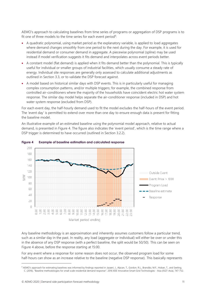AEMO's approach to calculating baselines from time series of programs or aggregation of DSP programs is to fit one of three models to the time series for each event period<sup>9</sup>:

- A quadratic polynomial, using market period as the explanatory variable, is applied to load aggregates where demand changes smoothly from one period to the next during the day. For example, it is used for residential demand or consumer demand in aggregate. A piecewise polynomial (spline) may be used instead if model verification suggests it fits demand and interpolates across event periods better.
- A constant model (flat demand) is applied when it fits demand better than the polynomial. This is typically useful for individual or smaller groups of industrial facilities, which usually consume a steady rate of energy. Individual site responses are generally only assessed to calculate additional adjustments as outlined in Section [3.3,](#page-12-0) or to validate the DSP forecast against.
- A model based on historical similar days with DSP events. This is in particularly useful for managing complex consumption patterns, and/or multiple triggers; for example, the combined response from controlled air-conditioners where the majority of the households have coincident electric hot water system response. The similar day model helps separate the air-conditioner response (included in DSP) and hot water system response (excluded from DSP).

For each event day, the half-hourly demand used to fit the model excludes the half-hours of the event period. The 'event day' is permitted to extend over more than one day to ensure enough data is present for fitting the baseline model.

An illustrative example of an estimated baseline using the polynomial model approach, relative to actual demand, is presented in [Figure 4](#page-10-0). The figure also indicates the 'event period', which is the time range where a DSP trigger is determined to have occurred (outlined in Section [3.2.2\)](#page-11-1).



#### <span id="page-10-0"></span>**Figure 4 Example of baseline estimation and calculated response**

Any baseline methodology is an approximation and inherently assumes customers follow a particular trend, such as a similar day in the past. In reality, any load (aggregate or individual) will either be over or under this in the absence of any DSP response (with a perfect baseline, the split would be 50/50). This can be seen on Figure 4 above, before the response starting at 15:00.

For any event where a response for some reason does not occur, the observed program load for some half-hours can show as an increase relative to the baseline (negative DSP response). This basically represents

<sup>9</sup> AEMO's approach for estimating baselines was informed by findings reported in Jazaeri, J., Alpcan, T., Gordon, R.L., Brandão, M.F., Hoban, T., and Seeling, C. (2016), "Baseline methodologies for small scale residential demand response". 2016 IEEE Innovative Smart Grid Technologies - Asia (ISGT-Asia), 747-752.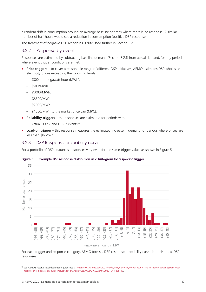a random drift in consumption around an average baseline at times where there is no response. A similar number of half-hours would see a reduction in consumption (positive DSP response).

The treatment of negative DSP responses is discussed further in Section [3.2.3.](#page-11-2)

## <span id="page-11-1"></span>3.2.2 Response by event

Responses are estimated by subtracting baseline demand (Section [3.2.1\)](#page-9-1) from actual demand, for any period where event trigger conditions are met:

- **Price triggers** to cover a reasonable range of different DSP initiatives, AEMO estimates DSP wholesale electricity prices exceeding the following levels:
	- \$300 per megawatt hour (MWh).
	- \$500/MWh.
	- \$1,000/MWh.
	- \$2,500/MWh.
	- \$5,000/MWh.
	- \$7,500/MWh to the market price cap (MPC).
- **Reliability triggers** the responses are estimated for periods with:
	- Actual LOR 2 and LOR 3 events<sup>10</sup>.
- **Load-on trigger** this response measures the estimated increase in demand for periods where prices are less than \$0/MWh.

## <span id="page-11-2"></span>3.2.3 DSP Response probability curve

For a portfolio of DSP resources, responses vary even for the same trigger value, as shown i[n Figure 5.](#page-11-0)

#### 35 30 Jumber of ocurrences 25 20 15  $10$ 5  $\theta$  $\overline{\mathcal{N}}$ -591  $\rightleftarrows$  $-95$ -651  $-53$  $-35$  $-29$  $-231$  $-171$  $-14, -11$ 5  $\frac{1}{2}$  $\boxed{0}$ 25]  $89$  $\overline{3}$  $-47$  $-41$  $43$ -771  $\overline{51}$  $-74, -71$ 75  $\tilde{C}$  $\overrightarrow{A}$  $\overline{10}$ ထုံ  $16,$  $-62$ .  $-56.$ 22, 28, 40,  $-68$ . ੜ੍ਹੇ  $-50,$  $-26$  $-80,$ -32,  $-20,$ 98, .92, 86, 44,  $-38$

### <span id="page-11-0"></span>**Figure 5 Example DSP response distribution as a histogram for a specific trigger**

Response amount in MW

For each trigger and response category, AEMO forms a DSP response probability curve from historical DSP responses.

<sup>10</sup> See AEMO's reserve level declaration guidelines, at [https://www.aemo.com.au/-/media/files/electricity/nem/security\\_and\\_reliability/power\\_system\\_ops/](https://www.aemo.com.au/-/media/files/electricity/nem/security_and_reliability/power_system_ops/reserve-level-declaration-guidelines.pdf?la=en&hash=C6BAAC5CFAED22495C92C7C418885F43) [reserve-level-declaration-guidelines.pdf?la=en&hash=C6BAAC5CFAED22495C92C7C418885F43.](https://www.aemo.com.au/-/media/files/electricity/nem/security_and_reliability/power_system_ops/reserve-level-declaration-guidelines.pdf?la=en&hash=C6BAAC5CFAED22495C92C7C418885F43)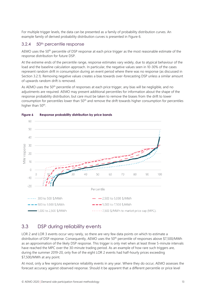For multiple trigger levels, the data can be presented as a family of probability distribution curves. An example family of derived probability distribution curves is presented in [Figure 6.](#page-12-1)

## 3.2.4 50th percentile response

AEMO uses the 50<sup>th</sup> percentile of DSP response at each price trigger as the most reasonable estimate of the response distribution for future DSP.

At the extreme ends of the percentile range, response estimates vary widely, due to atypical behaviour of the load and the baseline calculation approach. In particular, the negative values seen in 10-30% of the cases represent random drift in consumption during an event period where there was no response (as discussed in Section [3.2.1\)](#page-9-1). Removing negative values creates a bias towards over-forecasting DSP unless a similar amount of upwards random drift is removed.

As AEMO uses the 50<sup>th</sup> percentile of responses at each price trigger, any bias will be negligible, and no adjustments are required. AEMO may present additional percentiles for information about the shape of the response probability distribution, but care must be taken to remove the biases from the drift to lower consumption for percentiles lower than 50th and remove the drift towards higher consumption for percentiles higher than 50<sup>th</sup>.



## <span id="page-12-1"></span>**Figure 6 Response probability distribution by price bands**

## <span id="page-12-0"></span>3.3 DSP during reliability events

LOR 2 and LOR 3 events occur very rarely, so there are very few data points on which to estimate a distribution of DSP response. Consequently, AEMO uses the 50th percentile of responses above \$7,500/MWh as an approximation of the likely DSP response. This trigger is only met when at least three 5-minute intervals have reached the MPC over the 30-minute trading period. As an example of how rare such triggers are, during the summer 2019-20, only five of the eight LOR 2 events had half-hourly prices exceeding \$7,500/MWh at any point.

At most, only a few regions experience reliability events in any year. Where they do occur, AEMO assesses the forecast accuracy against observed response. Should it be apparent that a different percentile or price level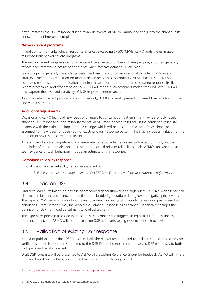better matches the DSP response during reliability events, AEMO will announce and justify the change in its annual forecast improvement plan.

### **Network event programs**

In addition to the market-driven response at prices exceeding \$7,500/MWh, AEMO adds the estimated response from network event programs.

The network event programs can only be called on a limited number of times per year, and they generally reflect loads that would not respond to price when forecast demand is very high.

Such programs generally have a large customer base, making it computationally challenging to use a NMI-level methodology as used for market-driven responses. Accordingly, AEMO has previously used estimated response from organisations running these programs, rather than calculating response itself. Where practicable, and efficient to do so, AEMO will model such programs itself at the NMI level. This will best capture the level and variability of DSP response performance.

As some network event programs are summer only, AEMO generally presents different forecasts for summer and winter seasons.

#### **Additional adjustments**

Occasionally, AEMO learns of new loads or changes to consumption patterns that may reasonably result in changed DSP response during reliability events. AEMO may in these cases adjust the combined reliability response with the estimated impact of the change, which will be based on the size of these loads and assumed (for new loads) or observed (for existing loads) response pattern. This may include a limitation of the duration of any response, where relevant.

An example of such an adjustment is where a site has a potential response contracted for RERT, but the remainder of the site remains able to respond to normal price or reliability signals. AEMO can, when it has seen evidence of such behaviour, include an estimate of this response.

#### **Combined reliability response**

In total, the combined reliability response assumed is:

*Reliability response = market response (>\$7,500/MWh) + network event response + adjustment*

## <span id="page-13-0"></span>3.4 Load-on DSP

Similar to load curtailment (or increase of embedded generation) during high prices, DSP in a wider sense can also include load increase (and/or reduction of embedded generation) during low or negative price events. This type of DSP can be an important means to address power system security issues during minimum load conditions. From October 2021, the Wholesale Demand Response rules change<sup>11</sup> specifically changes the definition of DSP from load curtailment to load adjustment.

This type of response is assessed in the same way as other price triggers, using a calculated baseline as reference point, and AEMO will include Load-on DSP as it starts seeing evidence of such behaviour.

## <span id="page-13-1"></span>3.5 Validation of existing DSP response

Ahead of publishing the final DSP forecasts, both the market response and reliability response projections are verified using the information submitted to the DSP IP and the most recent observed DSP responses to both high price and reliability events.

Draft DSP forecasts will be presented to AEMO's Forecasting Reference Group for feedback. AEMO will, where required based on feedback, update the forecast before publishing as final.

<sup>11</sup> Se[e https://www.aemc.gov.au/rule-changes/wholesale-demand-response-mechanism](https://www.aemc.gov.au/rule-changes/wholesale-demand-response-mechanism).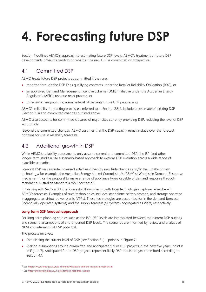# <span id="page-14-0"></span>**4. Forecasting future DSP**

Section [4](#page-14-0) outlines AEMO's approach to estimating future DSP levels. AEMO's treatment of future DSP developments differs depending on whether the new DSP is committed or prospective.

## <span id="page-14-1"></span>4.1 Committed DSP

AEMO treats future DSP projects as committed if they are:

- reported through the DSP IP as qualifying contracts under the Retailer Reliability Obligation (RRO), or
- an approved Demand Management Incentive Scheme (DMIS) initiative under the Australian Energy Regulator's (AER's) revenue reset process, or
- other initiatives providing a similar level of certainty of the DSP progressing.

AEMO's reliability forecasting processes, referred to in Section [2.3.2,](#page-5-1) include an estimate of existing DSP (Section [3.3\)](#page-12-0) and committed changes outlined above.

AEMO also accounts for committed closures of major sites currently providing DSP, reducing the level of DSP accordingly.

Beyond the committed changes, AEMO assumes that the DSP capacity remains static over the forecast horizons for use in reliability forecasts.

## <span id="page-14-2"></span>4.2 Additional growth in DSP

While AEMO's reliability assessments only assume current and committed DSP, the ISP (and other longer-term studies) use a scenario-based approach to explore DSP evolution across a wide range of plausible scenarios.

Forecast DSP may include increased activities driven by new Rule changes and/or the uptake of new technology; for example, the Australian Energy Market Commission's (AEMC's) Wholesale Demand Response mechanism<sup>12</sup>, or the proposal to make a range of appliance types capable of demand response through mandating Australian Standard 4755.2 for these<sup>13</sup>.

In keeping with Section 3.1, the forecast still excludes growth from technologies captured elsewhere in AEMO's forecasts. Examples of such technologies includes standalone battery storage, and storage operated in aggregate as virtual power plants (VPPs). These technologies are accounted for in the demand forecast (individually operated systems) and the supply forecast (all systems aggregated as VPPs) respectively.

## **Long-term DSP forecast approach**

For long-term planning studies such as the ISP, DSP levels are interpolated between the current DSP outlook and scenario assumptions of end of period DSP levels. The scenarios are informed by review and analysis of NEM and international DSP potential.

The process involves:

- Establishing the current level of DSP (see Section 3.1) point A in Figure 7.
- Making assumptions around committed and anticipated future DSP projects in the next five years (point B in Figure 7). Anticipated future DSP projects represent likely DSP that is not yet committed according to Section 4.1

<sup>12</sup> Se[e https://www.aemc.gov.au/rule-changes/wholesale-demand-response-mechanism.](https://www.aemc.gov.au/rule-changes/wholesale-demand-response-mechanism)

<sup>13</sup> Se[e http://energyrating.gov.au/news/demand-response-update.](http://energyrating.gov.au/news/demand-response-update)